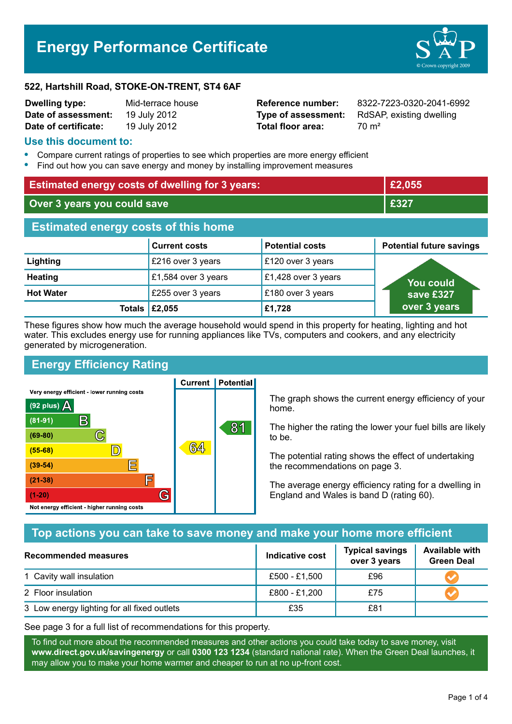# **Energy Performance Certificate**



#### **522, Hartshill Road, STOKE-ON-TRENT, ST4 6AF**

| <b>Dwelling type:</b> | Mid-terrace house |
|-----------------------|-------------------|
| Date of assessment:   | 19 July 2012      |
| Date of certificate:  | 19 July 2012      |

**Total floor area:** 70 m<sup>2</sup>

**Dwelling type:** Mid-terrace house **Reference number:** 8322-7223-0320-2041-6992 **Type of assessment:** RdSAP, existing dwelling

## **Use this document to:**

- **•** Compare current ratings of properties to see which properties are more energy efficient
- **•** Find out how you can save energy and money by installing improvement measures

| <b>Estimated energy costs of dwelling for 3 years:</b> |                                |                        | £2,055                          |  |
|--------------------------------------------------------|--------------------------------|------------------------|---------------------------------|--|
| Over 3 years you could save                            |                                |                        | £327                            |  |
| <b>Estimated energy costs of this home</b>             |                                |                        |                                 |  |
|                                                        | <b>Current costs</b>           | <b>Potential costs</b> | <b>Potential future savings</b> |  |
| Lighting                                               | £216 over 3 years              | £120 over 3 years      |                                 |  |
| <b>Heating</b>                                         | £1,584 over 3 years            | £1,428 over 3 years    | <b>You could</b>                |  |
| <b>Hot Water</b>                                       | £255 over 3 years              | £180 over 3 years      | save £327                       |  |
|                                                        | Totals $\left  \right.$ £2,055 | £1,728                 | over 3 years                    |  |

These figures show how much the average household would spend in this property for heating, lighting and hot water. This excludes energy use for running appliances like TVs, computers and cookers, and any electricity generated by microgeneration.

**Current | Potential** 

## **Energy Efficiency Rating**

Very energy efficient - lower running costs



The graph shows the current energy efficiency of your home.

The higher the rating the lower your fuel bills are likely to be.

The potential rating shows the effect of undertaking the recommendations on page 3.

The average energy efficiency rating for a dwelling in England and Wales is band D (rating 60).

## **Top actions you can take to save money and make your home more efficient**

| Recommended measures                        | Indicative cost | <b>Typical savings</b><br>over 3 years | <b>Available with</b><br><b>Green Deal</b> |
|---------------------------------------------|-----------------|----------------------------------------|--------------------------------------------|
| 1 Cavity wall insulation                    | £500 - £1,500   | £96                                    |                                            |
| 2 Floor insulation                          | £800 - £1,200   | £75                                    |                                            |
| 3 Low energy lighting for all fixed outlets | £35             | £81                                    |                                            |

See page 3 for a full list of recommendations for this property.

To find out more about the recommended measures and other actions you could take today to save money, visit **www.direct.gov.uk/savingenergy** or call **0300 123 1234** (standard national rate). When the Green Deal launches, it may allow you to make your home warmer and cheaper to run at no up-front cost.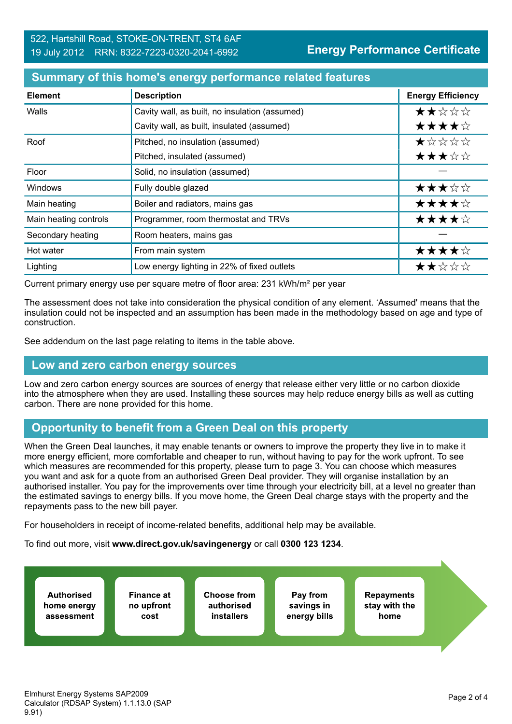#### **Summary of this home's energy performance related features**

| <b>Element</b>        | <b>Description</b>                             | <b>Energy Efficiency</b> |
|-----------------------|------------------------------------------------|--------------------------|
| Walls                 | Cavity wall, as built, no insulation (assumed) | ★★☆☆☆                    |
|                       | Cavity wall, as built, insulated (assumed)     | ★★★★☆                    |
| Roof                  | Pitched, no insulation (assumed)               | ★☆☆☆☆                    |
|                       | Pitched, insulated (assumed)                   | ★★★☆☆                    |
| Floor                 | Solid, no insulation (assumed)                 |                          |
| <b>Windows</b>        | Fully double glazed                            | ★★★☆☆                    |
| Main heating          | Boiler and radiators, mains gas                | ★★★★☆                    |
| Main heating controls | Programmer, room thermostat and TRVs           | ★★★★☆                    |
| Secondary heating     | Room heaters, mains gas                        |                          |
| Hot water             | From main system                               | ★★★★☆                    |
| Lighting              | Low energy lighting in 22% of fixed outlets    | ★★☆☆☆                    |

Current primary energy use per square metre of floor area: 231 kWh/m² per year

The assessment does not take into consideration the physical condition of any element. 'Assumed' means that the insulation could not be inspected and an assumption has been made in the methodology based on age and type of construction.

See addendum on the last page relating to items in the table above.

### **Low and zero carbon energy sources**

Low and zero carbon energy sources are sources of energy that release either very little or no carbon dioxide into the atmosphere when they are used. Installing these sources may help reduce energy bills as well as cutting carbon. There are none provided for this home.

## **Opportunity to benefit from a Green Deal on this property**

When the Green Deal launches, it may enable tenants or owners to improve the property they live in to make it more energy efficient, more comfortable and cheaper to run, without having to pay for the work upfront. To see which measures are recommended for this property, please turn to page 3. You can choose which measures you want and ask for a quote from an authorised Green Deal provider. They will organise installation by an authorised installer. You pay for the improvements over time through your electricity bill, at a level no greater than the estimated savings to energy bills. If you move home, the Green Deal charge stays with the property and the repayments pass to the new bill payer.

For householders in receipt of income-related benefits, additional help may be available.

To find out more, visit **www.direct.gov.uk/savingenergy** or call **0300 123 1234**.

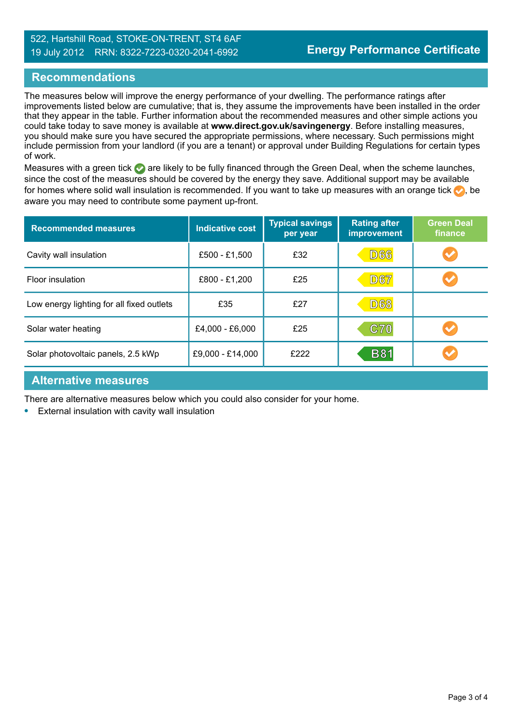## **Recommendations**

The measures below will improve the energy performance of your dwelling. The performance ratings after improvements listed below are cumulative; that is, they assume the improvements have been installed in the order that they appear in the table. Further information about the recommended measures and other simple actions you could take today to save money is available at **www.direct.gov.uk/savingenergy**. Before installing measures, you should make sure you have secured the appropriate permissions, where necessary. Such permissions might include permission from your landlord (if you are a tenant) or approval under Building Regulations for certain types of work.

Measures with a green tick are likely to be fully financed through the Green Deal, when the scheme launches, since the cost of the measures should be covered by the energy they save. Additional support may be available for homes where solid wall insulation is recommended. If you want to take up measures with an orange tick  $\bullet$ , be aware you may need to contribute some payment up-front.

| <b>Recommended measures</b>               | <b>Indicative cost</b> | <b>Typical savings</b><br>per year | <b>Rating after</b><br>improvement | <b>Green Deal</b><br>finance |
|-------------------------------------------|------------------------|------------------------------------|------------------------------------|------------------------------|
| Cavity wall insulation                    | £500 - £1,500          | £32                                | <b>D66</b>                         | $\blacktriangledown$         |
| Floor insulation                          | £800 - £1,200          | £25                                | <b>D67</b>                         |                              |
| Low energy lighting for all fixed outlets | £35                    | £27                                | <b>D68</b>                         |                              |
| Solar water heating                       | £4,000 - £6,000        | £25                                | <b>C70</b>                         |                              |
| Solar photovoltaic panels, 2.5 kWp        | £9,000 - £14,000       | £222                               | <b>B81</b>                         |                              |

## **Alternative measures**

There are alternative measures below which you could also consider for your home.

**•** External insulation with cavity wall insulation